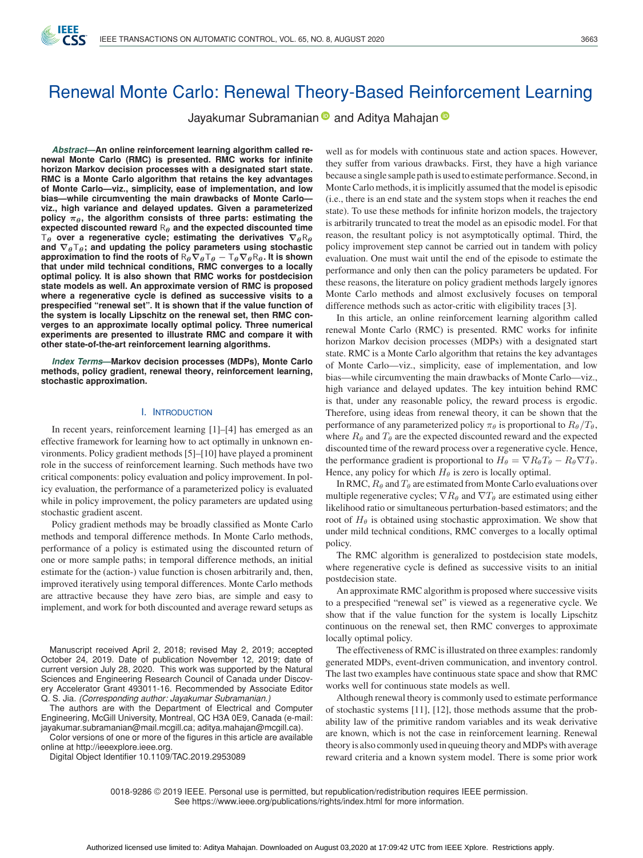# Renewal Monte Carlo: Renewal Theory-Based Reinforcement Learning

Jayakumar Subramanian and Aditya Mahajan a

*Abstract***—An online reinforcement learning algorithm called renewal Monte Carlo (RMC) is presented. RMC works for infinite horizon Markov decision processes with a designated start state. RMC is a Monte Carlo algorithm that retains the key advantages of Monte Carlo—viz., simplicity, ease of implementation, and low bias—while circumventing the main drawbacks of Monte Carlo viz., high variance and delayed updates. Given a parameterized policy** *πθ***, the algorithm consists of three parts: estimating the expected discounted reward** R*<sup>θ</sup>* **and the expected discounted time**  $T_{\theta}$  **over a regenerative cycle; estimating the derivatives**  $\nabla_{\theta}R_{\theta}$ **and** *∇θ*T*θ***; and updating the policy parameters using stochastic approximation to find the roots of** R*θ∇θ*T*<sup>θ</sup> −* T*θ∇θ*R*θ***. It is shown that under mild technical conditions, RMC converges to a locally optimal policy. It is also shown that RMC works for postdecision state models as well. An approximate version of RMC is proposed where a regenerative cycle is defined as successive visits to a prespecified "renewal set". It is shown that if the value function of the system is locally Lipschitz on the renewal set, then RMC converges to an approximate locally optimal policy. Three numerical experiments are presented to illustrate RMC and compare it with other state-of-the-art reinforcement learning algorithms.**

IFFF

*Index Terms***—Markov decision processes (MDPs), Monte Carlo methods, policy gradient, renewal theory, reinforcement learning, stochastic approximation.**

#### I. INTRODUCTION

In recent years, reinforcement learning [1]–[4] has emerged as an effective framework for learning how to act optimally in unknown environments. Policy gradient methods [5]–[10] have played a prominent role in the success of reinforcement learning. Such methods have two critical components: policy evaluation and policy improvement. In policy evaluation, the performance of a parameterized policy is evaluated while in policy improvement, the policy parameters are updated using stochastic gradient ascent.

Policy gradient methods may be broadly classified as Monte Carlo methods and temporal difference methods. In Monte Carlo methods, performance of a policy is estimated using the discounted return of one or more sample paths; in temporal difference methods, an initial estimate for the (action-) value function is chosen arbitrarily and, then, improved iteratively using temporal differences. Monte Carlo methods are attractive because they have zero bias, are simple and easy to implement, and work for both discounted and average reward setups as

Manuscript received April 2, 2018; revised May 2, 2019; accepted October 24, 2019. Date of publication November 12, 2019; date of current version July 28, 2020. This work was supported by the Natural Sciences and Engineering Research Council of Canada under Discovery Accelerator Grant 493011-16. Recommended by Associate Editor Q. S. Jia. *(Corresponding author: Jayakumar Subramanian.)*

The authors are with the Department of Electrical and Computer Engineering, McGill University, Montreal, QC H3A 0E9, Canada (e-mail: [jayakumar.subramanian@mail.mcgill.ca;](mailto:jayakumar.subramanian@mail.mcgill.ca) [aditya.mahajan@mcgill.ca\)](mailto:aditya.mahajan@mcgill.ca).

Color versions of one or more of the figures in this article are available online at [http://ieeexplore.ieee.org.](http://ieeexplore.ieee.org)

Digital Object Identifier 10.1109/TAC.2019.2953089

well as for models with continuous state and action spaces. However, they suffer from various drawbacks. First, they have a high variance because a single sample path is used to estimate performance. Second, in Monte Carlo methods, it is implicitly assumed that the model is episodic (i.e., there is an end state and the system stops when it reaches the end state). To use these methods for infinite horizon models, the trajectory is arbitrarily truncated to treat the model as an episodic model. For that reason, the resultant policy is not asymptotically optimal. Third, the policy improvement step cannot be carried out in tandem with policy evaluation. One must wait until the end of the episode to estimate the performance and only then can the policy parameters be updated. For these reasons, the literature on policy gradient methods largely ignores Monte Carlo methods and almost exclusively focuses on temporal difference methods such as actor-critic with eligibility traces [3].

In this article, an online reinforcement learning algorithm called renewal Monte Carlo (RMC) is presented. RMC works for infinite horizon Markov decision processes (MDPs) with a designated start state. RMC is a Monte Carlo algorithm that retains the key advantages of Monte Carlo—viz., simplicity, ease of implementation, and low bias—while circumventing the main drawbacks of Monte Carlo—viz., high variance and delayed updates. The key intuition behind RMC is that, under any reasonable policy, the reward process is ergodic. Therefore, using ideas from renewal theory, it can be shown that the performance of any parameterized policy  $\pi_{\theta}$  is proportional to  $R_{\theta}/T_{\theta}$ , where  $R_{\theta}$  and  $T_{\theta}$  are the expected discounted reward and the expected discounted time of the reward process over a regenerative cycle. Hence, the performance gradient is proportional to  $H_{\theta} = \nabla R_{\theta} T_{\theta} - R_{\theta} \nabla T_{\theta}$ . Hence, any policy for which  $H_{\theta}$  is zero is locally optimal.

In RMC,  $R_{\theta}$  and  $T_{\theta}$  are estimated from Monte Carlo evaluations over multiple regenerative cycles;  $\nabla R_{\theta}$  and  $\nabla T_{\theta}$  are estimated using either likelihood ratio or simultaneous perturbation-based estimators; and the root of  $H_\theta$  is obtained using stochastic approximation. We show that under mild technical conditions, RMC converges to a locally optimal policy.

The RMC algorithm is generalized to postdecision state models, where regenerative cycle is defined as successive visits to an initial postdecision state.

An approximate RMC algorithm is proposed where successive visits to a prespecified "renewal set" is viewed as a regenerative cycle. We show that if the value function for the system is locally Lipschitz continuous on the renewal set, then RMC converges to approximate locally optimal policy.

The effectiveness of RMC is illustrated on three examples: randomly generated MDPs, event-driven communication, and inventory control. The last two examples have continuous state space and show that RMC works well for continuous state models as well.

Although renewal theory is commonly used to estimate performance of stochastic systems [11], [12], those methods assume that the probability law of the primitive random variables and its weak derivative are known, which is not the case in reinforcement learning. Renewal theory is also commonly used in queuing theory and MDPs with average reward criteria and a known system model. There is some prior work

0018-9286 © 2019 IEEE. Personal use is permitted, but republication/redistribution requires IEEE permission. See https://www.ieee.org/publications/rights/index.html for more information.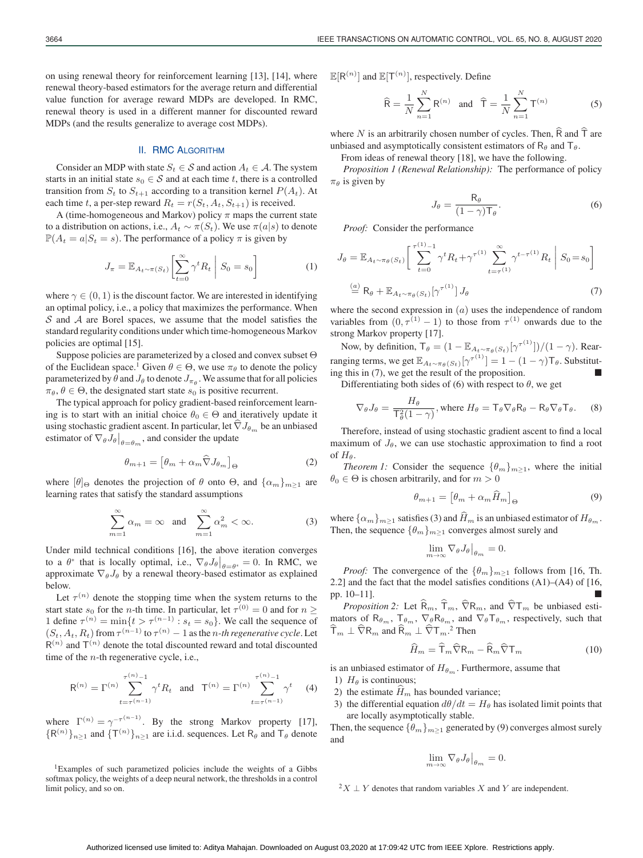on using renewal theory for reinforcement learning [13], [14], where renewal theory-based estimators for the average return and differential value function for average reward MDPs are developed. In RMC, renewal theory is used in a different manner for discounted reward MDPs (and the results generalize to average cost MDPs).

# II. RMC ALGORITHM

Consider an MDP with state  $S_t \in \mathcal{S}$  and action  $A_t \in \mathcal{A}$ . The system starts in an initial state  $s_0 \in S$  and at each time t, there is a controlled transition from  $S_t$  to  $S_{t+1}$  according to a transition kernel  $P(A_t)$ . At each time t, a per-step reward  $R_t = r(S_t, A_t, S_{t+1})$  is received.

A (time-homogeneous and Markov) policy  $\pi$  maps the current state to a distribution on actions, i.e.,  $A_t \sim \pi(S_t)$ . We use  $\pi(a|s)$  to denote  $\mathbb{P}(A_t = a | S_t = s)$ . The performance of a policy  $\pi$  is given by

$$
J_{\pi} = \mathbb{E}_{A_t \sim \pi(S_t)} \left[ \sum_{t=0}^{\infty} \gamma^t R_t \middle| S_0 = s_0 \right]
$$
 (1)

where  $\gamma \in (0, 1)$  is the discount factor. We are interested in identifying an optimal policy, i.e., a policy that maximizes the performance. When  $S$  and  $A$  are Borel spaces, we assume that the model satisfies the standard regularity conditions under which time-homogeneous Markov policies are optimal [15].

Suppose policies are parameterized by a closed and convex subset Θ of the Euclidean space.<sup>1</sup> Given  $\theta \in \Theta$ , we use  $\pi_{\theta}$  to denote the policy parameterized by  $\theta$  and  $J_{\theta}$  to denote  $J_{\pi_{\theta}}$ . We assume that for all policies  $\pi_{\theta}, \theta \in \Theta$ , the designated start state  $s_0$  is positive recurrent.

The typical approach for policy gradient-based reinforcement learning is to start with an initial choice  $\theta_0 \in \Theta$  and iteratively update it using stochastic gradient ascent. In particular, let  $\nabla J_{\theta_m}$  be an unbiased estimator of  $\nabla_{\theta} J_{\theta}|_{\theta = \theta_m}$ , and consider the update

$$
\theta_{m+1} = \left[\theta_m + \alpha_m \hat{\nabla} J_{\theta_m}\right]_{\Theta} \tag{2}
$$

where  $[\theta]_{\Theta}$  denotes the projection of  $\theta$  onto  $\Theta$ , and  $\{\alpha_m\}_{m>1}$  are learning rates that satisfy the standard assumptions

$$
\sum_{m=1}^{\infty} \alpha_m = \infty \quad \text{and} \quad \sum_{m=1}^{\infty} \alpha_m^2 < \infty. \tag{3}
$$

Under mild technical conditions [16], the above iteration converges to a  $\theta^*$  that is locally optimal, i.e.,  $\nabla_{\theta} J_{\theta}|_{\theta=\theta^*} = 0$ . In RMC, we approximate  $\nabla_{\theta} J_{\theta}$  by a repeated theory based estimator as explained approximate  $\nabla_{\theta} J_{\theta}$  by a renewal theory-based estimator as explained below.

Let  $\tau^{(n)}$  denote the stopping time when the system returns to the start state  $s_0$  for the *n*-th time. In particular, let  $\tau^{(0)} = 0$  and for  $n \geq$ 1 define  $\tau^{(n)} = \min\{t > \tau^{(n-1)} : s_t = s_0\}$ . We call the sequence of  $(S_t, A_t, R_t)$  from  $\tau^{(n-1)}$  to  $\tau^{(n)} - 1$  as the *n-th regenerative cycle*. Let  $R^{(n)}$  and  $T^{(n)}$  denote the total discounted reward and total discounted time of the *n*-th regenerative cycle, i.e.,

$$
\mathsf{R}^{(n)} = \Gamma^{(n)} \sum_{t=\tau^{(n-1)}}^{\tau^{(n)}-1} \gamma^t R_t \quad \text{and} \quad \mathsf{T}^{(n)} = \Gamma^{(n)} \sum_{t=\tau^{(n-1)}}^{\tau^{(n)}-1} \gamma^t \tag{4}
$$

where  $\Gamma^{(n)} = \gamma^{-\tau^{(n-1)}}$ . By the strong Markov property [17],  ${R^{(n)}}_{n\geq 1}$  and  ${T^{(n)}}_{n\geq 1}$  are i.i.d. sequences. Let  $R_\theta$  and  $T_\theta$  denote

<sup>1</sup>Examples of such parametized policies include the weights of a Gibbs softmax policy, the weights of a deep neural network, the thresholds in a control limit policy, and so on.

 $\mathbb{E}[R^{(n)}]$  and  $\mathbb{E}[T^{(n)}]$ , respectively. Define

$$
\widehat{\mathsf{R}} = \frac{1}{N} \sum_{n=1}^{N} \mathsf{R}^{(n)} \quad \text{and} \quad \widehat{\mathsf{T}} = \frac{1}{N} \sum_{n=1}^{N} \mathsf{T}^{(n)} \tag{5}
$$

where N is an arbitrarily chosen number of cycles. Then,  $\widehat{R}$  and  $\widehat{T}$  are unbiased and asymptotically consistent estimators of  $R_\theta$  and  $T_\theta$ .

From ideas of renewal theory [18], we have the following.

*Proposition 1 (Renewal Relationship):* The performance of policy  $\pi_{\theta}$  is given by

$$
J_{\theta} = \frac{\mathsf{R}_{\theta}}{(1 - \gamma)\mathsf{T}_{\theta}}.\tag{6}
$$

*Proof:* Consider the performance

$$
J_{\theta} = \mathbb{E}_{A_t \sim \pi_{\theta}(S_t)} \left[ \sum_{t=0}^{\tau^{(1)}-1} \gamma^t R_t + \gamma^{\tau^{(1)}} \sum_{t=\tau^{(1)}}^{\infty} \gamma^{t-\tau^{(1)}} R_t \middle| S_0 = s_0 \right]
$$
  
\n
$$
\stackrel{(a)}{=} R_{\theta} + \mathbb{E}_{A_t \sim \pi_{\theta}(S_t)} [\gamma^{\tau^{(1)}}] J_{\theta} \tag{7}
$$

where the second expression in  $(a)$  uses the independence of random variables from  $(0, \tau^{(1)} - 1)$  to those from  $\tau^{(1)}$  onwards due to the strong Markov property [17].

Now, by definition,  $T_{\theta} = (1 - \mathbb{E}_{A_t \sim \pi_{\theta}(S_t)}[\gamma^{\tau^{(1)}}])/(1 - \gamma)$ . Rearranging terms, we get  $\mathbb{E}_{A_t \sim \pi_\theta(S_t)}[\gamma^{\tau^{(1)}}] = 1 - (1 - \gamma)T_\theta$ . Substituting this in  $(7)$ , we get the result of the proposition.

Differentiating both sides of (6) with respect to  $\theta$ , we get

$$
\nabla_{\theta} J_{\theta} = \frac{H_{\theta}}{\mathsf{T}_{\theta}^{2}(1-\gamma)}, \text{ where } H_{\theta} = \mathsf{T}_{\theta} \nabla_{\theta} \mathsf{R}_{\theta} - \mathsf{R}_{\theta} \nabla_{\theta} \mathsf{T}_{\theta}. \tag{8}
$$

Therefore, instead of using stochastic gradient ascent to find a local maximum of  $J_\theta$ , we can use stochastic approximation to find a root of  $H_\theta$ .

*Theorem 1:* Consider the sequence  $\{\theta_m\}_{m>1}$ , where the initial  $\theta_0 \in \Theta$  is chosen arbitrarily, and for  $m > 0$ 

$$
\theta_{m+1} = \left[\theta_m + \alpha_m \hat{H}_m\right]_{\Theta} \tag{9}
$$

where  $\{\alpha_m\}_{m\geq 1}$  satisfies (3) and  $\widehat{H}_m$  is an unbiased estimator of  $H_{\theta_m}$ . Then, the sequence  $\{\theta_m\}_{m\geq 1}$  converges almost surely and

$$
\lim_{m \to \infty} \nabla_{\theta} J_{\theta} \big|_{\theta_m} = 0.
$$

*Proof:* The convergence of the  $\{\theta_m\}_{m\geq 1}$  follows from [16, Th. 2.2] and the fact that the model satisfies conditions (A1)–(A4) of [16, pp. 10–11]. -

*Proposition 2:* Let  $\widehat{R}_m$ ,  $\widehat{T}_m$ ,  $\widehat{\nabla}R_m$ , and  $\widehat{\nabla}T_m$  be unbiased estimators of  $\mathsf{R}_{\theta_m}$ ,  $\mathsf{T}_{\theta_m}$ ,  $\nabla_{\theta} \mathsf{R}_{\theta_m}$ , and  $\nabla_{\theta} \mathsf{T}_{\theta_m}$ , respectively, such that  $\overline{T}_m \perp \nabla R_m$  and  $\overline{R}_m \perp \nabla T_m$ .<sup>2</sup> Then

$$
\widehat{H}_m = \widehat{\mathsf{T}}_m \widehat{\nabla} \mathsf{R}_m - \widehat{\mathsf{R}}_m \widehat{\nabla} \mathsf{T}_m \tag{10}
$$

is an unbiased estimator of  $H_{\theta_m}$ . Furthermore, assume that

- 1)  $H_{\theta}$  is continuous;
- 2) the estimate  $\hat{H}_m$  has bounded variance;
- 3) the differential equation  $d\theta/dt = H_\theta$  has isolated limit points that are locally asymptotically stable.

Then, the sequence  $\{\theta_m\}_{m\geq 1}$  generated by (9) converges almost surely and

$$
\lim_{m \to \infty} \nabla_{\theta} J_{\theta} \Big|_{\theta_m} = 0.
$$

 $2X \perp Y$  denotes that random variables X and Y are independent.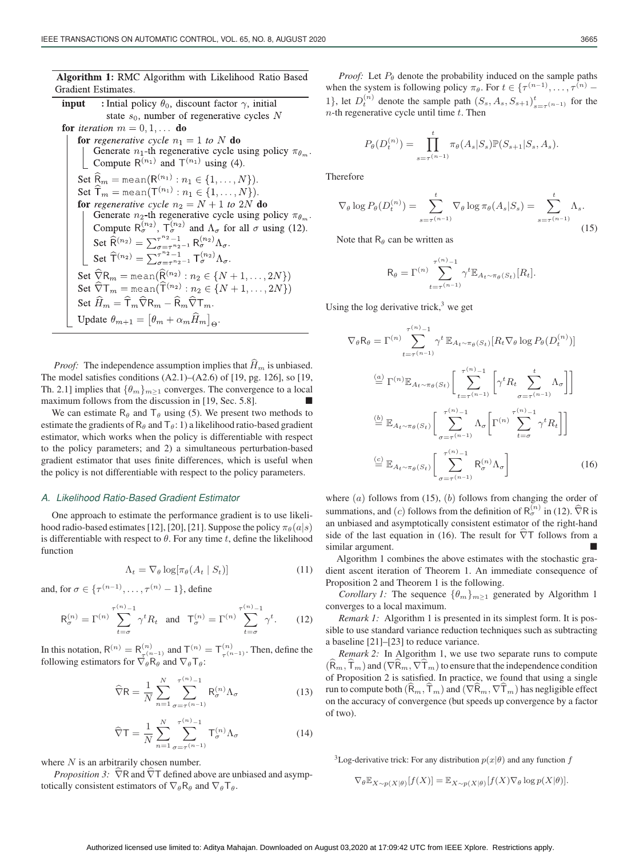| <b>Algorithm 1:</b> RMC Algorithm with Likelihood Ratio Based |  |  |  |
|---------------------------------------------------------------|--|--|--|
| Gradient Estimates.                                           |  |  |  |

: Initial policy  $\theta_0$ , discount factor  $\gamma$ , initial input state  $s_0$ , number of regenerative cycles N **for** *iteration*  $m = 0, 1, \ldots$  **do for** regenerative cycle  $n_1 = 1$  to N **do** Generate  $n_1$ -th regenerative cycle using policy  $\pi_{\theta_m}$ . Compute  $R^{(n_1)}$  and  $T^{(n_1)}$  using (4). Set  $\widehat{R}_m$  = mean( $R^{(n_1)}$ :  $n_1 \in \{1, ..., N\}$ ). Set  $\widehat{\mathsf{T}}_m = \text{mean}(\mathsf{T}^{(n_1)} : n_1 \in \{1, ..., N\}).$ for regenerative cycle  $n_2 = N + 1$  to  $2N$  do Generate  $n_2$ -th regenerative cycle using policy  $\pi_{\theta_m}$ . Compute  $\mathsf{R}_{\sigma}^{(n_2)}$ ,  $\mathsf{T}_{\sigma}^{(n_2)}$  and  $\Lambda_{\sigma}$  for all  $\sigma$  using (12).<br>Set  $\widehat{\mathsf{R}}^{(n_2)} = \sum_{\sigma = \tau^{n_2-1}}^{\tau^{n_2}-1} \mathsf{R}_{\sigma}^{(n_2)} \Lambda_{\sigma}$ .<br>Set  $\widehat{\mathsf{T}}^{(n_2)} = \sum_{\sigma = \tau^{n_2-1}}^{\tau^{n_2}-1} \mathsf{T}_{\sigma}^{(n_2)} \Lambda_{\sigma}$ . Set  $\widehat{\nabla}R_m = \text{mean}(\widehat{R}^{(n_2)} : n_2 \in \{N+1, \ldots, 2N\})$ <br>Set  $\widehat{\nabla}T_m = \text{mean}(\widehat{T}^{(n_2)} : n_2 \in \{N+1, \ldots, 2N\})$ Set  $\widehat{H}_m = \widehat{\mathsf{T}}_m \widehat{\nabla} \mathsf{R}_m - \widehat{\mathsf{R}}_m \widehat{\nabla} \mathsf{T}_m$ . Update  $\theta_{m+1} = [\theta_m + \alpha_m \widehat{H}_m]_{\Theta}$ .

*Proof:* The independence assumption implies that  $\widehat{H}_m$  is unbiased. The model satisfies conditions  $(A2.1)$ – $(A2.6)$  of [19, pg. 126], so [19, Th. 2.1] implies that  $\{\theta_m\}_{m\geq 1}$  converges. The convergence to a local maximum follows from the discussion in [19, Sec. 5.8].

We can estimate  $R_{\theta}$  and  $T_{\theta}$  using (5). We present two methods to estimate the gradients of  $R_\theta$  and  $T_\theta$ : 1) a likelihood ratio-based gradient estimator, which works when the policy is differentiable with respect to the policy parameters; and 2) a simultaneous perturbation-based gradient estimator that uses finite differences, which is useful when the policy is not differentiable with respect to the policy parameters.

## *A. Likelihood Ratio-Based Gradient Estimator*

One approach to estimate the performance gradient is to use likelihood radio-based estimates [12], [20], [21]. Suppose the policy  $\pi_{\theta}(a|s)$ is differentiable with respect to  $\theta$ . For any time t, define the likelihood function

$$
\Lambda_t = \nabla_{\theta} \log[\pi_{\theta}(A_t \mid S_t)] \tag{11}
$$

and, for  $\sigma \in \{\tau^{(n-1)}, \ldots, \tau^{(n)}-1\}$ , define

$$
\mathsf{R}_{\sigma}^{(n)} = \Gamma^{(n)} \sum_{t=\sigma}^{\tau^{(n)}-1} \gamma^t R_t \quad \text{and} \quad \mathsf{T}_{\sigma}^{(n)} = \Gamma^{(n)} \sum_{t=\sigma}^{\tau^{(n)}-1} \gamma^t. \tag{12}
$$

In this notation,  $R^{(n)} = R^{(n)}_{\tau^{(n-1)}}$  and  $T^{(n)} = T^{(n)}_{\tau^{(n-1)}}$ . Then, define the following estimators for  $\nabla \cdot \mathbf{R}$ , and  $\nabla \cdot \mathbf{T}$ . following estimators for  $\overline{\nabla}_{\theta}^{\overline{\mu}} \overline{\mathsf{R}}_{\theta}$  and  $\nabla_{\theta} \mathsf{T}_{\theta}$ :

$$
\widehat{\nabla}\mathbf{R} = \frac{1}{N} \sum_{n=1}^{N} \sum_{\sigma=\tau}^{\tau^{(n)}-1} \mathbf{R}_{\sigma}^{(n)} \Lambda_{\sigma}
$$
(13)

$$
\widehat{\nabla}\mathsf{T} = \frac{1}{N} \sum_{n=1}^{N} \sum_{\sigma=\tau}^{\tau^{(n)}-1} \mathsf{T}_{\sigma}^{(n)} \Lambda_{\sigma}
$$
(14)

where  $N$  is an arbitrarily chosen number.

*Proposition 3:*  $\widehat{\nabla}R$  and  $\widehat{\nabla}T$  defined above are unbiased and asymptotically consistent estimators of  $\nabla_{\theta} R_{\theta}$  and  $\nabla_{\theta} T_{\theta}$ .

*Proof:* Let  $P_{\theta}$  denote the probability induced on the sample paths when the system is following policy  $\pi_{\theta}$ . For  $t \in {\{\tau^{(n-1)}, \ldots, \tau^{(n)} - \tau^{(n)}\}}$ 1}, let  $D_t^{(n)}$  denote the sample path  $(S_s, A_s, S_{s+1})_{s=\tau^{(n-1)}}^t$  for the  $n$ -th regenerative cycle until time  $t$ . Then

$$
P_{\theta}(D_t^{(n)}) = \prod_{s=\tau^{(n-1)}}^{t} \pi_{\theta}(A_s|S_s) \mathbb{P}(S_{s+1}|S_s, A_s).
$$

Therefore

$$
\nabla_{\theta} \log P_{\theta}(D_t^{(n)}) = \sum_{s=\tau^{(n-1)}}^t \nabla_{\theta} \log \pi_{\theta}(A_s|S_s) = \sum_{s=\tau^{(n-1)}}^t \Lambda_s.
$$
\n(15)

Note that  $R_{\theta}$  can be written as

$$
\mathsf{R}_{\theta} = \Gamma^{(n)} \sum_{t=\tau^{(n-1)}}^{\tau^{(n)}-1} \gamma^t \mathbb{E}_{A_t \sim \pi_{\theta}(S_t)}[R_t].
$$

Using the log derivative trick, $3$  we get

$$
\nabla_{\theta} \mathbf{R}_{\theta} = \Gamma^{(n)} \sum_{t=\tau^{(n-1)}}^{\tau^{(n)}-1} \gamma^{t} \mathbb{E}_{A_{t} \sim \pi_{\theta}(S_{t})} [R_{t} \nabla_{\theta} \log P_{\theta} (D_{t}^{(n)})]
$$

$$
\stackrel{(a)}{=} \Gamma^{(n)} \mathbb{E}_{A_{t} \sim \pi_{\theta}(S_{t})} \left[ \sum_{t=\tau^{(n-1)}}^{\tau^{(n)}-1} \left[ \gamma^{t} R_{t} \sum_{\sigma=\tau^{(n-1)}}^{t} \Lambda_{\sigma} \right] \right]
$$

$$
\stackrel{(b)}{=} \mathbb{E}_{A_{t} \sim \pi_{\theta}(S_{t})} \left[ \sum_{\sigma=\tau^{(n-1)}}^{\tau^{(n)}-1} \Lambda_{\sigma} \left[ \Gamma^{(n)} \sum_{t=\sigma}^{\tau^{(n)}-1} \gamma^{t} R_{t} \right] \right]
$$

$$
\stackrel{(c)}{=} \mathbb{E}_{A_{t} \sim \pi_{\theta}(S_{t})} \left[ \sum_{\sigma=\tau^{(n-1)}}^{\tau^{(n)}-1} \mathbf{R}_{\sigma}^{(n)} \Lambda_{\sigma} \right]
$$
(16)

where  $(a)$  follows from (15),  $(b)$  follows from changing the order of summations, and (c) follows from the definition of  $R_{\sigma}^{(n)}$  in (12).  $\widehat{\nabla}R$  is an unbiased and asymptotically consistent estimator of the right-hand side of the last equation in (16). The result for  $\hat{\nabla}T$  follows from a similar argument.

Algorithm 1 combines the above estimates with the stochastic gradient ascent iteration of Theorem 1. An immediate consequence of Proposition 2 and Theorem 1 is the following.

*Corollary 1:* The sequence  $\{\theta_m\}_{m>1}$  generated by Algorithm 1 converges to a local maximum.

*Remark 1:* Algorithm 1 is presented in its simplest form. It is possible to use standard variance reduction techniques such as subtracting a baseline [21]–[23] to reduce variance.

*Remark 2:* In Algorithm 1, we use two separate runs to compute  $(R_m, T_m)$  and  $(\nabla R_m, \nabla T_m)$  to ensure that the independence condition of Proposition 2 is satisfied. In practice, we found that using a single run to compute both  $(\widehat{\mathsf{R}}_m, \widehat{\mathsf{T}}_m)$  and  $(\nabla \widehat{\mathsf{R}}_m, \nabla \widehat{\mathsf{T}}_m)$  has negligible effect on the accuracy of convergence (but speeds up convergence by a factor of two).

<sup>3</sup>Log-derivative trick: For any distribution  $p(x|\theta)$  and any function f

$$
\nabla_{\theta} \mathbb{E}_{X \sim p(X|\theta)}[f(X)] = \mathbb{E}_{X \sim p(X|\theta)}[f(X)\nabla_{\theta} \log p(X|\theta)].
$$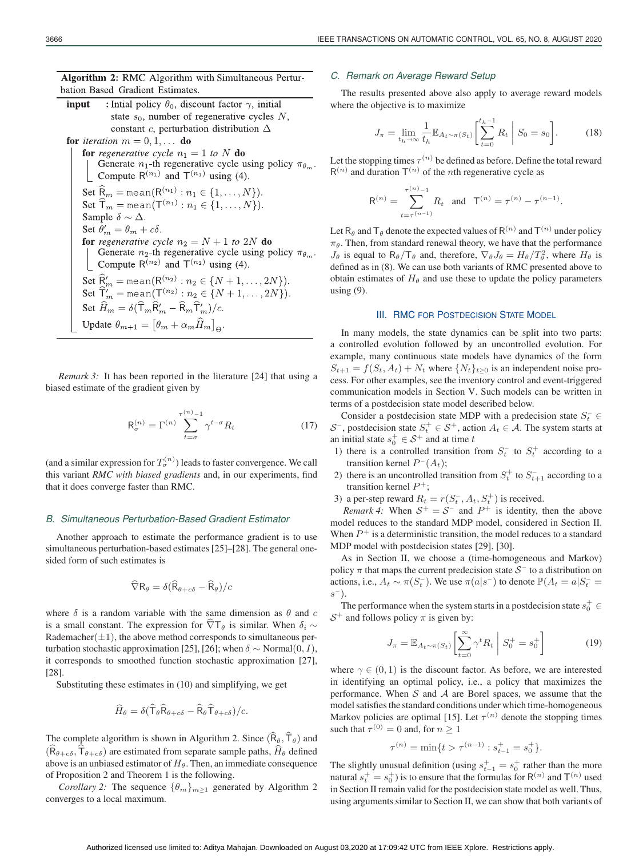Algorithm 2: RMC Algorithm with Simultaneous Perturbation Based Gradient Estimates.

input : Intial policy  $\theta_0$ , discount factor  $\gamma$ , initial state  $s_0$ , number of regenerative cycles N, constant c, perturbation distribution  $\Delta$ for *iteration*  $m = 0, 1$  $\mathbf{d}$ 

for *iteration* 
$$
m = 0, 1, ...
$$
 **do**  
\n**for** *regenerative cycle*  $n_1 = 1$  *to*  $N$  **do**  
\n**Generate**  $n_1$ -th regenerative cycle using policy  $\pi_{\theta_m}$   
\n**Compute**  $\mathbb{R}^{(n_1)}$  and  $\mathbb{T}^{(n_1)}$  using (4).  
\n**Set**  $\widehat{\mathbb{F}}_m = \text{mean}(\mathbb{R}^{(n_1)} : n_1 \in \{1, ..., N\})$ .  
\n**Sample**  $\delta \sim \Delta$ .  
\n**Set**  $\theta'_m = \theta_m + c\delta$ .  
\n**for** *regenerative cycle*  $n_2 = N + 1$  *to* 2 $N$  **do**  
\n**Generate**  $n_2$ -th regenerative cycle using policy  $\pi_{\theta_m}$   
\n**Compute**  $\mathbb{R}^{(n_2)}$  and  $\mathbb{T}^{(n_2)}$  using (4).  
\n**Set**  $\widehat{\mathbb{F}}_m' = \text{mean}(\mathbb{R}^{(n_2)} : n_2 \in \{N + 1, ..., 2N\})$ .  
\n**Set**  $\widehat{H}'_m = \text{mean}(\mathbb{T}^{(n_2)} : n_2 \in \{N + 1, ..., 2N\})$ .  
\n**Set**  $\widehat{H}_m = \delta(\widehat{T}_m \widehat{R}'_m - \widehat{R}_m \widehat{T}'_m)/c$ .  
\n**Update**  $\theta_{m+1} = [\theta_m + \alpha_m \widehat{H}_m]_{\Theta}$ .

*Remark 3:* It has been reported in the literature [24] that using a biased estimate of the gradient given by

$$
\mathsf{R}_{\sigma}^{(n)} = \Gamma^{(n)} \sum_{t=\sigma}^{\tau^{(n)}-1} \gamma^{t-\sigma} R_t \tag{17}
$$

(and a similar expression for  $T_{\sigma}^{(n)}$ ) leads to faster convergence. We call this variant *RMC with biased gradients* and, in our experiments, find that it does converge faster than RMC.

#### *B. Simultaneous Perturbation-Based Gradient Estimator*

Another approach to estimate the performance gradient is to use simultaneous perturbation-based estimates [25]–[28]. The general onesided form of such estimates is

$$
\widehat{\nabla}\mathsf{R}_{\theta} = \delta(\widehat{\mathsf{R}}_{\theta+c\delta} - \widehat{\mathsf{R}}_{\theta})/c
$$

where  $\delta$  is a random variable with the same dimension as  $\theta$  and c is a small constant. The expression for  $\nabla T_{\theta}$  is similar. When  $\delta_i \sim$ Rademacher $(\pm 1)$ , the above method corresponds to simultaneous perturbation stochastic approximation [25], [26]; when  $\delta \sim \text{Normal}(0, I)$ , it corresponds to smoothed function stochastic approximation [27], [28].

Substituting these estimates in (10) and simplifying, we get

$$
\widehat{H}_{\theta} = \delta(\widehat{\mathsf{T}}_{\theta} \widehat{\mathsf{R}}_{\theta+c\delta} - \widehat{\mathsf{R}}_{\theta} \widehat{\mathsf{T}}_{\theta+c\delta})/c.
$$

The complete algorithm is shown in Algorithm 2. Since  $(\widehat{R}_{\theta}, \widehat{T}_{\theta})$  and  $(\widehat{R}_{\theta+c\delta},\widehat{T}_{\theta+c\delta})$  are estimated from separate sample paths,  $\widehat{H}_{\theta}$  defined above is an unbiased estimator of  $H_\theta$ . Then, an immediate consequence of Proposition 2 and Theorem 1 is the following.

*Corollary 2:* The sequence  $\{\theta_m\}_{m\geq 1}$  generated by Algorithm 2 converges to a local maximum.

## *C. Remark on Average Reward Setup*

The results presented above also apply to average reward models where the objective is to maximize

$$
J_{\pi} = \lim_{t_h \to \infty} \frac{1}{t_h} \mathbb{E}_{A_t \sim \pi(S_t)} \left[ \sum_{t=0}^{t_h - 1} R_t \middle| S_0 = s_0 \right]. \tag{18}
$$

Let the stopping times  $\tau^{(n)}$  be defined as before. Define the total reward  $R^{(n)}$  and duration  $T^{(n)}$  of the *n*th regenerative cycle as

$$
\mathsf{R}^{(n)} = \sum_{t=\tau^{(n)}-1}^{\tau^{(n)}-1} R_t \quad \text{and} \quad \mathsf{T}^{(n)} = \tau^{(n)} - \tau^{(n-1)}.
$$

Let R<sub>θ</sub> and T<sub>θ</sub> denote the expected values of R<sup>(n)</sup> and T<sup>(n)</sup> under policy  $\pi_{\theta}$ . Then, from standard renewal theory, we have that the performance  $J_{\theta}$  is equal to  $R_{\theta}/T_{\theta}$  and, therefore,  $\nabla_{\theta} J_{\theta} = H_{\theta}/T_{\theta}^2$ , where  $H_{\theta}$  is defined as in (8). We can use both variants of **BMC** presented above to defined as in (8). We can use both variants of RMC presented above to obtain estimates of  $H_\theta$  and use these to update the policy parameters using (9).

# **III. RMC FOR POSTDECISION STATE MODEL**

In many models, the state dynamics can be split into two parts: a controlled evolution followed by an uncontrolled evolution. For example, many continuous state models have dynamics of the form  $S_{t+1} = f(S_t, A_t) + N_t$  where  $\{N_t\}_{t\geq 0}$  is an independent noise process. For other examples, see the inventory control and event-triggered communication models in Section V. Such models can be written in terms of a postdecision state model described below.

Consider a postdecision state MDP with a predecision state  $S_t^- \in$ S<sup>-</sup>, postdecision state  $S_t^+ \in S^+$ , action  $A_t \in \mathcal{A}$ . The system starts at an initial state  $s_0^+ \in S^+$  and at time t

- 1) there is a controlled transition from  $S_t^-$  to  $S_t^+$  according to a transition kernel  $P^{-}(A_t);$
- 2) there is an uncontrolled transition from  $S_t^+$  to  $S_{t+1}^-$  according to a transition kernel  $P^+$ ;
- 3) a per-step reward  $R_t = r(S_t^-, A_t, S_t^+)$  is received.<br>
Ramark 4: When  $S_t^+ = S_t^-$  and  $P_t^+$  is identity to

*Remark 4:* When  $S^+ = S^-$  and  $P^+$  is identity, then the above model reduces to the standard MDP model, considered in Section II. When  $P^+$  is a deterministic transition, the model reduces to a standard MDP model with postdecision states [29], [30].

As in Section II, we choose a (time-homogeneous and Markov) policy  $\pi$  that maps the current predecision state  $S^-$  to a distribution on actions, i.e.,  $A_t \sim \pi(S_t^{-})$ . We use  $\pi(a|s^{-})$  to denote  $\mathbb{P}(A_t = a|S_t^{-})$  $\boldsymbol{s}$ <sup>-</sup>

The performance when the system starts in a postdecision state  $s_0^+ \in$  $S^+$  and follows policy  $\pi$  is given by:

$$
J_{\pi} = \mathbb{E}_{A_t \sim \pi(S_t)} \left[ \sum_{t=0}^{\infty} \gamma^t R_t \middle| S_0^+ = s_0^+ \right] \tag{19}
$$

where  $\gamma \in (0, 1)$  is the discount factor. As before, we are interested in identifying an optimal policy, i.e., a policy that maximizes the performance. When  $S$  and  $A$  are Borel spaces, we assume that the model satisfies the standard conditions under which time-homogeneous Markov policies are optimal [15]. Let  $\tau^{(n)}$  denote the stopping times such that  $\tau^{(0)} = 0$  and, for  $n > 1$ 

$$
\tau^{(n)} = \min\{t > \tau^{(n-1)} : s_{t-1}^+ = s_0^+\}.
$$

The slightly unusual definition (using  $s_{t-1}^+ = s_0^+$  rather than the more<br>natural  $s^+ - s^+$ ) is to ensure that the formulas for  $R^{(n)}$  and  $T^{(n)}$  used natural  $s_t^+ = s_0^+$  is to ensure that the formulas for  $R^{(n)}$  and  $T^{(n)}$  used<br>in Section II remain valid for the postdecision state model as well. Thus in Section II remain valid for the postdecision state model as well. Thus, using arguments similar to Section II, we can show that both variants of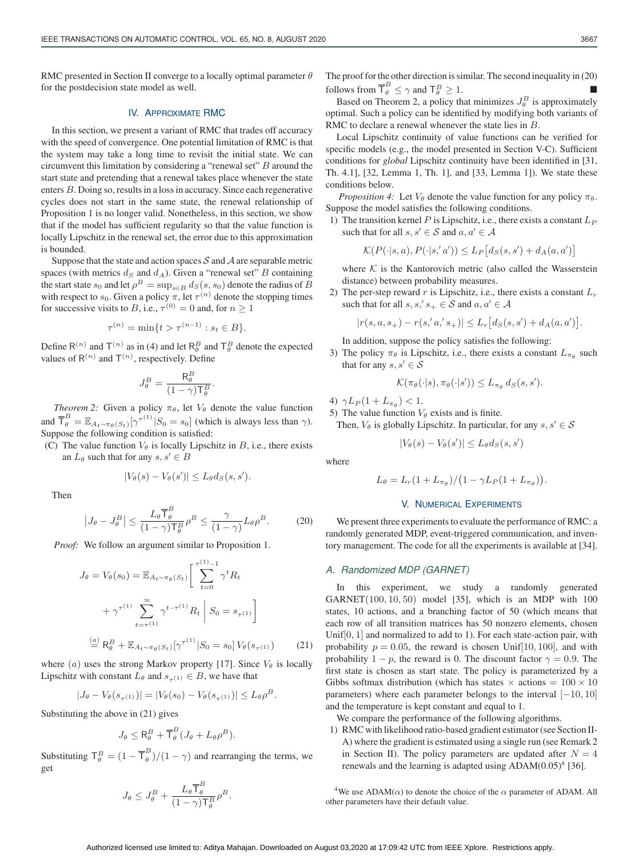RMC presented in Section II converge to a locally optimal parameter  $\theta$ for the postdecision state model as well.

# IV. APPROXIMATE RMC

In this section, we present a variant of RMC that trades off accuracy with the speed of convergence. One potential limitation of RMC is that the system may take a long time to revisit the initial state. We can circumvent this limitation by considering a "renewal set"  $B$  around the start state and pretending that a renewal takes place whenever the state enters B. Doing so, results in a loss in accuracy. Since each regenerative cycles does not start in the same state, the renewal relationship of Proposition 1 is no longer valid. Nonetheless, in this section, we show that if the model has sufficient regularity so that the value function is locally Lipschitz in the renewal set, the error due to this approximation is bounded.

Suppose that the state and action spaces  $S$  and  $A$  are separable metric spaces (with metrics  $d_S$  and  $d_A$ ). Given a "renewal set" B containing the start state  $s_0$  and let  $\rho^B = \sup_{s \in B} d_S(s, s_0)$  denote the radius of B with respect to  $s_0$ . Given a policy  $\pi$ , let  $\tau^{(n)}$  denote the stopping times for successive visits to B, i.e.,  $\tau^{(0)} = 0$  and, for  $n \ge 1$ 

$$
\tau^{(n)} = \min\{t > \tau^{(n-1)} : s_t \in B\}.
$$

Define R<sup>(n)</sup> and T<sup>(n)</sup> as in (4) and let R<sub> $^B_\theta$ </sub> and T<sub> $^B_\theta$ </sub> denote the expected values of  $R^{(n)}$  and  $T^{(n)}$ , respectively. Define

$$
J^B_\theta = \frac{\mathsf{R}^B_\theta}{(1-\gamma)\mathsf{T}^B_\theta}
$$

.

*Theorem 2:* Given a policy  $\pi_{\theta}$ , let  $V_{\theta}$  denote the value function and  $\overline{\mathsf{T}}_{\theta}^{B} = \mathbb{E}_{A_t \sim \pi_{\theta}(S_t)}[\gamma^{\tau(1)} | S_0 = s_0]$  (which is always less than  $\gamma$ ). Suppose the following condition is satisfied:

(C) The value function  $V_{\theta}$  is locally Lipschitz in B, i.e., there exists an  $L_{\theta}$  such that for any  $s, s' \in B$ 

$$
|V_{\theta}(s) - V_{\theta}(s')| \leq L_{\theta}d_S(s, s').
$$

Then

$$
\left| J_{\theta} - J_{\theta}^{B} \right| \leq \frac{L_{\theta} \overline{T}_{\theta}^{B}}{(1 - \gamma) \overline{T}_{\theta}^{B}} \rho^{B} \leq \frac{\gamma}{(1 - \gamma)} L_{\theta} \rho^{B}.
$$
 (20)

*Proof:* We follow an argument similar to Proposition 1.

$$
J_{\theta} = V_{\theta}(s_0) = \mathbb{E}_{A_t \sim \pi_{\theta}(S_t)} \left[ \sum_{t=0}^{\tau(1)} \gamma^t R_t + \gamma^{\tau(1)} \sum_{t=\tau(1)}^{\infty} \gamma^{t-\tau(1)} R_t \middle| S_0 = s_{\tau(1)} \right]
$$
  

$$
\stackrel{(a)}{=} R_{\theta}^B + \mathbb{E}_{A_t \sim \pi_{\theta}(S_t)} [\gamma^{\tau(1)} | S_0 = s_0] V_{\theta}(s_{\tau(1)}) \qquad (21)
$$

where (a) uses the strong Markov property [17]. Since  $V_\theta$  is locally Lipschitz with constant  $L_{\theta}$  and  $s_{\tau(1)} \in B$ , we have that

$$
|J_{\theta} - V_{\theta}(s_{\tau^{(1)}})| = |V_{\theta}(s_0) - V_{\theta}(s_{\tau^{(1)}})| \leq L_{\theta} \rho^{B}.
$$

Substituting the above in (21) gives

$$
J_{\theta} \leq \mathsf{R}_{\theta}^{B} + \overline{\mathsf{T}}_{\theta}^{B} (J_{\theta} + L_{\theta} \rho^{B}).
$$

Substituting  $T_{\theta}^{B} = (1 - \overline{T}_{\theta}^{B})/(1 - \gamma)$  and rearranging the terms, we get

$$
J_{\theta} \leq J_{\theta}^{B} + \frac{L_{\theta} \overline{T}_{\theta}^{B}}{(1 - \gamma) \overline{T}_{\theta}^{B}} \rho^{B}.
$$

The proof for the other direction is similar. The second inequality in (20) follows from  $\overline{\mathsf{T}}_{\theta}^{B} \leq \gamma$  and  $\mathsf{T}_{\theta}^{B}$ 

lows from  $\mathsf{T}_{\theta}^{\mathcal{B}} \leq \gamma$  and  $\mathsf{T}_{\theta}^{\mathcal{B}} \geq 1$ . optimal. Such a policy can be identified by modifying both variants of RMC to declare a renewal whenever the state lies in B.

Local Lipschitz continuity of value functions can be verified for specific models (e.g., the model presented in Section V-C). Sufficient conditions for *global* Lipschitz continuity have been identified in [31, Th. 4.1], [32, Lemma 1, Th. 1], and [33, Lemma 1]). We state these conditions below.

*Proposition 4:* Let  $V_{\theta}$  denote the value function for any policy  $\pi_{\theta}$ . Suppose the model satisfies the following conditions.

1) The transition kernel P is Lipschitz, i.e., there exists a constant  $L_P$ such that for all  $s, s' \in S$  and  $a, a' \in A$ 

$$
\mathcal{K}(P(\cdot|s,a), P(\cdot|s',a')) \le L_P[d_S(s,s') + d_A(a,a')]
$$

where  $K$  is the Kantorovich metric (also called the Wasserstein distance) between probability measures.

2) The per-step reward r is Lipschitz, i.e., there exists a constant  $L_r$ such that for all  $s, s', s_+ \in S$  and  $a, a' \in A$ 

$$
|r(s, a, s_{+}) - r(s, a', s_{+})| \leq L_r [d_S(s, s') + d_A(a, a')].
$$

In addition, suppose the policy satisfies the following:

3) The policy  $\pi_{\theta}$  is Lipschitz, i.e., there exists a constant  $L_{\pi_{\theta}}$  such that for any  $s, s' \in \mathcal{S}$ 

$$
\mathcal{K}(\pi_{\theta}(\cdot|s), \pi_{\theta}(\cdot|s')) \leq L_{\pi_{\theta}} d_S(s, s').
$$

4)  $\gamma L_P(1 + L_{\pi_{\theta}}) < 1.$ 

5) The value function  $V_{\theta}$  exists and is finite. Then,  $V_{\theta}$  is globally Lipschitz. In particular, for any  $s, s' \in \mathcal{S}$ 

$$
|V_{\theta}(s) - V_{\theta}(s')| \leq L_{\theta}d_S(s, s')
$$

where

$$
L_{\theta} = L_r (1 + L_{\pi_{\theta}}) / (1 - \gamma L_P (1 + L_{\pi_{\theta}})).
$$

#### V. NUMERICAL EXPERIMENTS

We present three experiments to evaluate the performance of RMC: a randomly generated MDP, event-triggered communication, and inventory management. The code for all the experiments is available at [34].

# *A. Randomized MDP (GARNET)*

In this experiment, we study a randomly generated  $GARNET(100, 10, 50)$  model [35], which is an MDP with 100 states, 10 actions, and a branching factor of 50 (which means that each row of all transition matrices has 50 nonzero elements, chosen Unif[0, 1] and normalized to add to 1). For each state-action pair, with probability  $p = 0.05$ , the reward is chosen Unif [10, 100], and with probability  $1 - p$ , the reward is 0. The discount factor  $\gamma = 0.9$ . The first state is chosen as start state. The policy is parameterized by a Gibbs softmax distribution (which has states  $\times$  actions =  $100 \times 10$ parameters) where each parameter belongs to the interval  $[-10, 10]$ and the temperature is kept constant and equal to 1.

We compare the performance of the following algorithms.

1) RMC with likelihood ratio-based gradient estimator (see Section II-A) where the gradient is estimated using a single run (see Remark 2 in Section II). The policy parameters are updated after  $N = 4$ renewals and the learning is adapted using  $ADAM(0.05)^4$  [36].

<sup>4</sup>We use ADAM( $\alpha$ ) to denote the choice of the  $\alpha$  parameter of ADAM. All other parameters have their default value.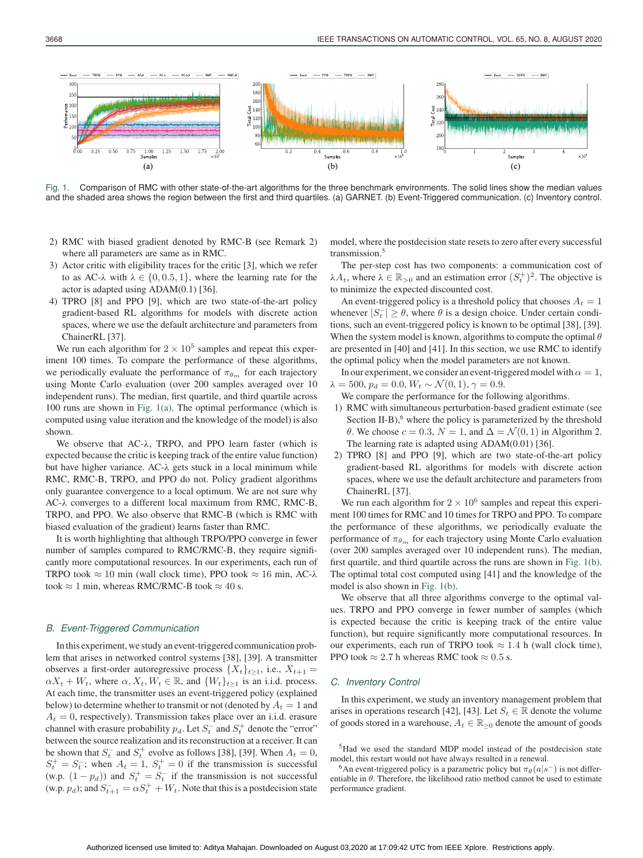

Fig. 1. Comparison of RMC with other state-of-the-art algorithms for the three benchmark environments. The solid lines show the median values and the shaded area shows the region between the first and third quartiles. (a) GARNET. (b) Event-Triggered communication. (c) Inventory control.

- 2) RMC with biased gradient denoted by RMC-B (see Remark 2) where all parameters are same as in RMC.
- 3) Actor critic with eligibility traces for the critic [3], which we refer to as AC- $\lambda$  with  $\lambda \in \{0, 0.5, 1\}$ , where the learning rate for the actor is adapted using ADAM(0.1) [36].
- 4) TPRO [8] and PPO [9], which are two state-of-the-art policy gradient-based RL algorithms for models with discrete action spaces, where we use the default architecture and parameters from ChainerRL [37].

We run each algorithm for  $2 \times 10^5$  samples and repeat this experiment 100 times. To compare the performance of these algorithms, we periodically evaluate the performance of  $\pi_{\theta_m}$  for each trajectory using Monte Carlo evaluation (over 200 samples averaged over 10 independent runs). The median, first quartile, and third quartile across 100 runs are shown in Fig. 1(a). The optimal performance (which is computed using value iteration and the knowledge of the model) is also shown.

We observe that AC-λ, TRPO, and PPO learn faster (which is expected because the critic is keeping track of the entire value function) but have higher variance. AC-λ gets stuck in a local minimum while RMC, RMC-B, TRPO, and PPO do not. Policy gradient algorithms only guarantee convergence to a local optimum. We are not sure why AC-λ converges to a different local maximum from RMC, RMC-B, TRPO, and PPO. We also observe that RMC-B (which is RMC with biased evaluation of the gradient) learns faster than RMC.

It is worth highlighting that although TRPO/PPO converge in fewer number of samples compared to RMC/RMC-B, they require significantly more computational resources. In our experiments, each run of TRPO took  $\approx 10$  min (wall clock time), PPO took  $\approx 16$  min, AC- $\lambda$ took  $\approx 1$  min, whereas RMC/RMC-B took  $\approx 40$  s.

#### *B. Event-Triggered Communication*

In this experiment, we study an event-triggered communication problem that arises in networked control systems [38], [39]. A transmitter observes a first-order autoregressive process  $\{X_t\}_{t\geq 1}$ , i.e.,  $X_{t+1}$  =  $\alpha X_t + W_t$ , where  $\alpha, X_t, W_t \in \mathbb{R}$ , and  $\{W_t\}_{t>1}$  is an i.i.d. process. At each time, the transmitter uses an event-triggered policy (explained below) to determine whether to transmit or not (denoted by  $A_t = 1$  and  $A_t = 0$ , respectively). Transmission takes place over an i.i.d. erasure channel with erasure probability  $p_d$ . Let  $S_t^-$  and  $S_t^+$  denote the "error" between the source realization and its reconstruction at a receiver. It can be shown that  $S_t^-$  and  $S_t^+$  evolve as follows [38], [39]. When  $A_t = 0$ ,  $S^+ - S^-$ ; when  $A_t = 1$ ,  $S^+ - 0$  if the transmission is successful.  $S_t^+ = S_t^-$ ; when  $A_t = 1$ ,  $S_t^+ = 0$  if the transmission is successful<br>(w.p.  $(1 - n_1)$ ) and  $S_t^+ = S_t^-$  if the transmission is not successful (w.p.  $(1 - pa)$ ) and  $S_t^+ = S_t^-$  if the transmission is not successful<br>(w.p. n.); and  $S_t^- = \alpha S_t^+ + W$ . Note that this is a postdecision state (w.p.  $p_d$ ); and  $S_{t+1}^- = \alpha S_t^+ + W_t$ . Note that this is a postdecision state

model, where the postdecision state resets to zero after every successful transmission.<sup>5</sup>

The per-step cost has two components: a communication cost of  $\lambda A_t$ , where  $\lambda \in \mathbb{R}_{>0}$  and an estimation error  $(S_t^+)^2$ . The objective is to minimize the expected discounted cost to minimize the expected discounted cost.

An event-triggered policy is a threshold policy that chooses  $A_t = 1$ whenever  $|S_t^-| \ge \theta$ , where  $\theta$  is a design choice. Under certain conditions, such an event-triggered policy is known to be optimal [38], [39]. When the system model is known, algorithms to compute the optimal  $\theta$ are presented in [40] and [41]. In this section, we use RMC to identify the optimal policy when the model parameters are not known.

In our experiment, we consider an event-triggered model with  $\alpha = 1$ ,  $\lambda = 500, p_d = 0.0, W_t \sim \mathcal{N}(0, 1), \gamma = 0.9.$ 

We compare the performance for the following algorithms.

- 1) RMC with simultaneous perturbation-based gradient estimate (see Section II-B $)$ , where the policy is parameterized by the threshold θ. We choose  $c = 0.3$ ,  $N = 1$ , and  $Δ = \mathcal{N}(0, 1)$  in Algorithm 2. The learning rate is adapted using ADAM(0.01) [36].
- 2) TPRO [8] and PPO [9], which are two state-of-the-art policy gradient-based RL algorithms for models with discrete action spaces, where we use the default architecture and parameters from ChainerRL [37].

We run each algorithm for  $2 \times 10^6$  samples and repeat this experiment 100 times for RMC and 10 times for TRPO and PPO. To compare the performance of these algorithms, we periodically evaluate the performance of  $\pi_{\theta_m}$  for each trajectory using Monte Carlo evaluation (over 200 samples averaged over 10 independent runs). The median, first quartile, and third quartile across the runs are shown in Fig. 1(b). The optimal total cost computed using [41] and the knowledge of the model is also shown in Fig. 1(b).

We observe that all three algorithms converge to the optimal values. TRPO and PPO converge in fewer number of samples (which is expected because the critic is keeping track of the entire value function), but require significantly more computational resources. In our experiments, each run of TRPO took  $\approx 1.4$  h (wall clock time), PPO took  $\approx 2.7$  h whereas RMC took  $\approx 0.5$  s.

# *C. Inventory Control*

In this experiment, we study an inventory management problem that arises in operations research [42], [43]. Let  $S_t \in \mathbb{R}$  denote the volume of goods stored in a warehouse,  $A_t \in \mathbb{R}_{\geq 0}$  denote the amount of goods

<sup>5</sup>Had we used the standard MDP model instead of the postdecision state model, this restart would not have always resulted in a renewal.

<sup>6</sup>An event-triggered policy is a parametric policy but  $\pi_{\theta}(a|s^{-})$  is not differentiable in  $\theta$ . Therefore, the likelihood ratio method cannot be used to estimate performance gradient.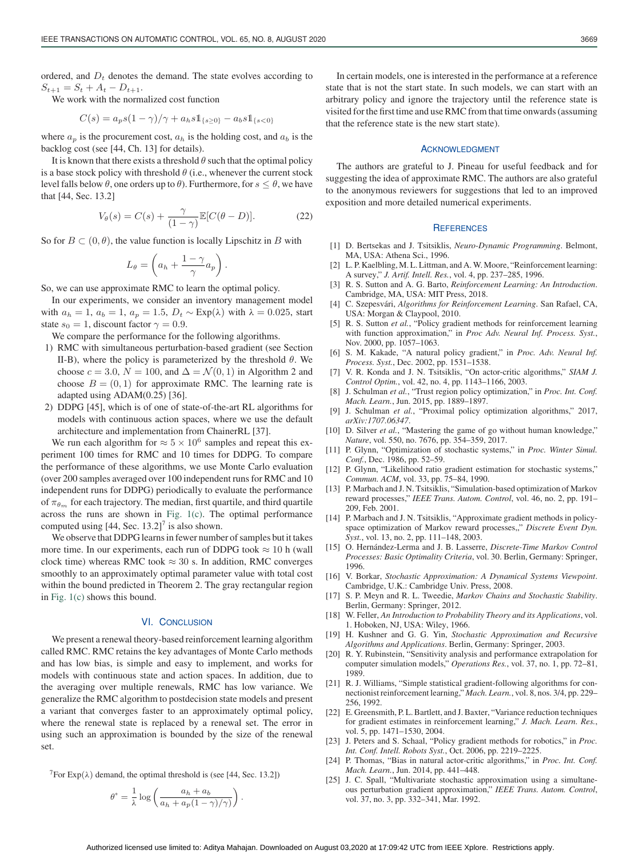ordered, and  $D_t$  denotes the demand. The state evolves according to  $S_{t+1} = S_t + A_t - D_{t+1}.$ 

We work with the normalized cost function

$$
C(s) = a_p s (1 - \gamma) / \gamma + a_h s \mathbb{1}_{\{s \ge 0\}} - a_b s \mathbb{1}_{\{s < 0\}}
$$

where  $a_p$  is the procurement cost,  $a_h$  is the holding cost, and  $a_b$  is the backlog cost (see [44, Ch. 13] for details).

It is known that there exists a threshold  $\theta$  such that the optimal policy is a base stock policy with threshold  $\theta$  (i.e., whenever the current stock level falls below θ, one orders up to θ). Furthermore, for  $s \leq θ$ , we have that [44, Sec. 13.2]

$$
V_{\theta}(s) = C(s) + \frac{\gamma}{(1-\gamma)} \mathbb{E}[C(\theta - D)].
$$
 (22)

So for  $B \subset (0, \theta)$ , the value function is locally Lipschitz in B with

$$
L_{\theta} = \left( a_h + \frac{1 - \gamma}{\gamma} a_p \right).
$$

So, we can use approximate RMC to learn the optimal policy.

In our experiments, we consider an inventory management model with  $a_h = 1$ ,  $a_b = 1$ ,  $a_p = 1.5$ ,  $D_t \sim \text{Exp}(\lambda)$  with  $\lambda = 0.025$ , start state  $s_0 = 1$ , discount factor  $\gamma = 0.9$ .

We compare the performance for the following algorithms.

- 1) RMC with simultaneous perturbation-based gradient (see Section II-B), where the policy is parameterized by the threshold  $\theta$ . We choose  $c = 3.0$ ,  $N = 100$ , and  $\Delta = \mathcal{N}(0, 1)$  in Algorithm 2 and choose  $B = (0, 1)$  for approximate RMC. The learning rate is adapted using ADAM(0.25) [36].
- 2) DDPG [45], which is of one of state-of-the-art RL algorithms for models with continuous action spaces, where we use the default architecture and implementation from ChainerRL [37].

We run each algorithm for  $\approx 5 \times 10^6$  samples and repeat this experiment 100 times for RMC and 10 times for DDPG. To compare the performance of these algorithms, we use Monte Carlo evaluation (over 200 samples averaged over 100 independent runs for RMC and 10 independent runs for DDPG) periodically to evaluate the performance of  $\pi_{\theta_m}$  for each trajectory. The median, first quartile, and third quartile across the runs are shown in Fig. 1(c). The optimal performance computed using  $[44, \text{Sec. } 13.2]$ <sup>7</sup> is also shown.

We observe that DDPG learns in fewer number of samples but it takes more time. In our experiments, each run of DDPG took  $\approx 10$  h (wall clock time) whereas RMC took  $\approx 30$  s. In addition, RMC converges smoothly to an approximately optimal parameter value with total cost within the bound predicted in Theorem 2. The gray rectangular region in Fig. 1(c) shows this bound.

#### VI. CONCLUSION

We present a renewal theory-based reinforcement learning algorithm called RMC. RMC retains the key advantages of Monte Carlo methods and has low bias, is simple and easy to implement, and works for models with continuous state and action spaces. In addition, due to the averaging over multiple renewals, RMC has low variance. We generalize the RMC algorithm to postdecision state models and present a variant that converges faster to an approximately optimal policy, where the renewal state is replaced by a renewal set. The error in using such an approximation is bounded by the size of the renewal set.

<sup>7</sup>For Exp( $\lambda$ ) demand, the optimal threshold is (see [44, Sec. 13.2])

$$
\theta^* = \frac{1}{\lambda} \log \left( \frac{a_h + a_b}{a_h + a_p (1 - \gamma)/\gamma} \right).
$$

In certain models, one is interested in the performance at a reference state that is not the start state. In such models, we can start with an arbitrary policy and ignore the trajectory until the reference state is visited for the first time and use RMC from that time onwards (assuming that the reference state is the new start state).

# ACKNOWLEDGMENT

The authors are grateful to J. Pineau for useful feedback and for suggesting the idea of approximate RMC. The authors are also grateful to the anonymous reviewers for suggestions that led to an improved exposition and more detailed numerical experiments.

#### **REFERENCES**

- [1] D. Bertsekas and J. Tsitsiklis, *Neuro-Dynamic Programming*. Belmont, MA, USA: Athena Sci., 1996.
- [2] L. P. Kaelbling, M. L. Littman, and A. W. Moore, "Reinforcement learning: A survey," *J. Artif. Intell. Res.*, vol. 4, pp. 237–285, 1996.
- [3] R. S. Sutton and A. G. Barto, *Reinforcement Learning: An Introduction*. Cambridge, MA, USA: MIT Press, 2018.
- [4] C. Szepesvári, *Algorithms for Reinforcement Learning*. San Rafael, CA, USA: Morgan & Claypool, 2010.
- [5] R. S. Sutton *et al.*, "Policy gradient methods for reinforcement learning with function approximation," in *Proc Adv. Neural Inf. Process. Syst.*, Nov. 2000, pp. 1057–1063.
- [6] S. M. Kakade, "A natural policy gradient," in *Proc. Adv. Neural Inf. Process. Syst.*, Dec. 2002, pp. 1531–1538.
- [7] V. R. Konda and J. N. Tsitsiklis, "On actor-critic algorithms," *SIAM J. Control Optim.*, vol. 42, no. 4, pp. 1143–1166, 2003.
- [8] J. Schulman *et al.*, "Trust region policy optimization," in *Proc. Int. Conf. Mach. Learn.*, Jun. 2015, pp. 1889–1897.
- [9] J. Schulman *et al.*, "Proximal policy optimization algorithms," 2017, *arXiv:1707.06347*.
- [10] D. Silver et al., "Mastering the game of go without human knowledge," *Nature*, vol. 550, no. 7676, pp. 354–359, 2017.
- [11] P. Glynn, "Optimization of stochastic systems," in *Proc. Winter Simul. Conf.*, Dec. 1986, pp. 52–59.
- [12] P. Glynn, "Likelihood ratio gradient estimation for stochastic systems," *Commun. ACM*, vol. 33, pp. 75–84, 1990.
- [13] P. Marbach and J. N. Tsitsiklis, "Simulation-based optimization of Markov reward processes," *IEEE Trans. Autom. Control*, vol. 46, no. 2, pp. 191– 209, Feb. 2001.
- [14] P. Marbach and J. N. Tsitsiklis, "Approximate gradient methods in policyspace optimization of Markov reward processes,," *Discrete Event Dyn. Syst.*, vol. 13, no. 2, pp. 111–148, 2003.
- [15] O. Hernández-Lerma and J. B. Lasserre, *Discrete-Time Markov Control Processes: Basic Optimality Criteria*, vol. 30. Berlin, Germany: Springer, 1996.
- [16] V. Borkar, *Stochastic Approximation: A Dynamical Systems Viewpoint*. Cambridge, U.K.: Cambridge Univ. Press, 2008.
- [17] S. P. Meyn and R. L. Tweedie, *Markov Chains and Stochastic Stability*. Berlin, Germany: Springer, 2012.
- [18] W. Feller, *An Introduction to Probability Theory and its Applications*, vol. 1. Hoboken, NJ, USA: Wiley, 1966.
- [19] H. Kushner and G. G. Yin, *Stochastic Approximation and Recursive Algorithms and Applications*. Berlin, Germany: Springer, 2003.
- [20] R. Y. Rubinstein, "Sensitivity analysis and performance extrapolation for computer simulation models," *Operations Res.*, vol. 37, no. 1, pp. 72–81, 1989.
- [21] R. J. Williams, "Simple statistical gradient-following algorithms for connectionist reinforcement learning," *Mach. Learn.*, vol. 8, nos. 3/4, pp. 229– 256, 1992.
- [22] E. Greensmith, P. L. Bartlett, and J. Baxter, "Variance reduction techniques for gradient estimates in reinforcement learning," *J. Mach. Learn. Res.*, vol. 5, pp. 1471–1530, 2004.
- [23] J. Peters and S. Schaal, "Policy gradient methods for robotics," in *Proc. Int. Conf. Intell. Robots Syst.*, Oct. 2006, pp. 2219–2225.
- [24] P. Thomas, "Bias in natural actor-critic algorithms," in *Proc. Int. Conf. Mach. Learn.*, Jun. 2014, pp. 441–448.
- [25] J. C. Spall, "Multivariate stochastic approximation using a simultaneous perturbation gradient approximation," *IEEE Trans. Autom. Control*, vol. 37, no. 3, pp. 332–341, Mar. 1992.